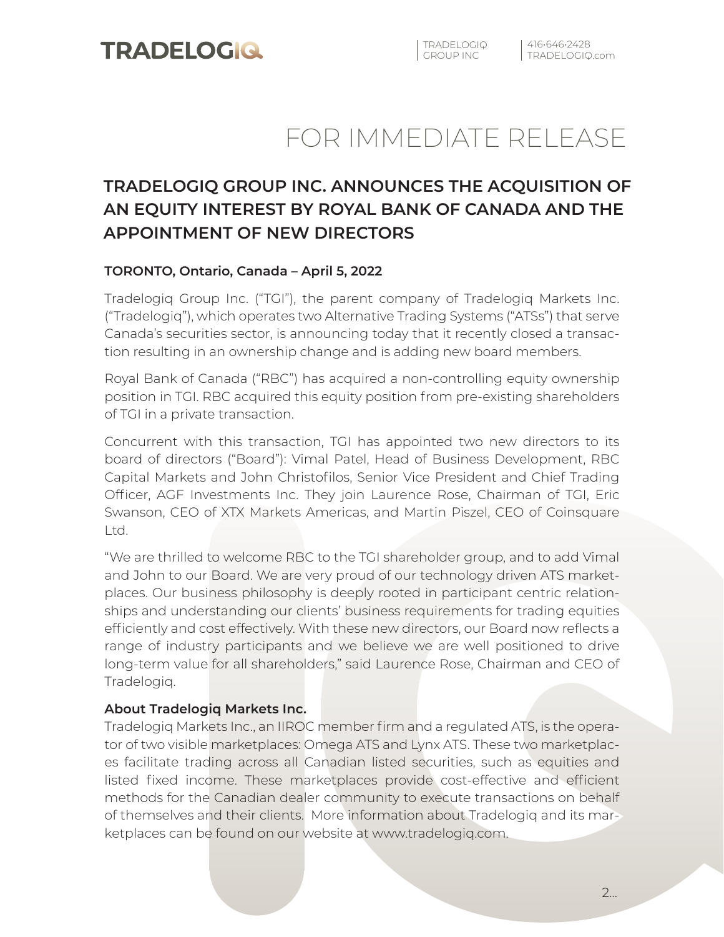# FOR IMMEDIATE RELEASE

## **TRADELOGIQ GROUP INC. ANNOUNCES THE ACQUISITION OF AN EQUITY INTEREST BY ROYAL BANK OF CANADA AND THE APPOINTMENT OF NEW DIRECTORS**

### **TORONTO, Ontario, Canada – April 5, 2022**

Tradelogiq Group Inc. ("TGI"), the parent company of Tradelogiq Markets Inc. ("Tradelogiq"), which operates two Alternative Trading Systems ("ATSs") that serve Canada's securities sector, is announcing today that it recently closed a transaction resulting in an ownership change and is adding new board members.

Royal Bank of Canada ("RBC") has acquired a non-controlling equity ownership position in TGI. RBC acquired this equity position from pre-existing shareholders of TGI in a private transaction.

Concurrent with this transaction, TGI has appointed two new directors to its board of directors ("Board"): Vimal Patel, Head of Business Development, RBC Capital Markets and John Christofilos, Senior Vice President and Chief Trading Officer, AGF Investments Inc. They join Laurence Rose, Chairman of TGI, Eric Swanson, CEO of XTX Markets Americas, and Martin Piszel, CEO of Coinsquare Ltd.

"We are thrilled to welcome RBC to the TGI shareholder group, and to add Vimal and John to our Board. We are very proud of our technology driven ATS marketplaces. Our business philosophy is deeply rooted in participant centric relationships and understanding our clients' business requirements for trading equities efficiently and cost effectively. With these new directors, our Board now reflects a range of industry participants and we believe we are well positioned to drive long-term value for all shareholders," said Laurence Rose, Chairman and CEO of Tradelogiq.

### **About Tradelogiq Markets Inc.**

Tradelogiq Markets Inc., an IIROC member firm and a regulated ATS, is the operator of two visible marketplaces: Omega ATS and Lynx ATS. These two marketplaces facilitate trading across all Canadian listed securities, such as equities and listed fixed income. These marketplaces provide cost-effective and efficient methods for the Canadian dealer community to execute transactions on behalf of themselves and their clients. More information about Tradelogiq and its marketplaces can be found on our website at www.tradelogiq.com.